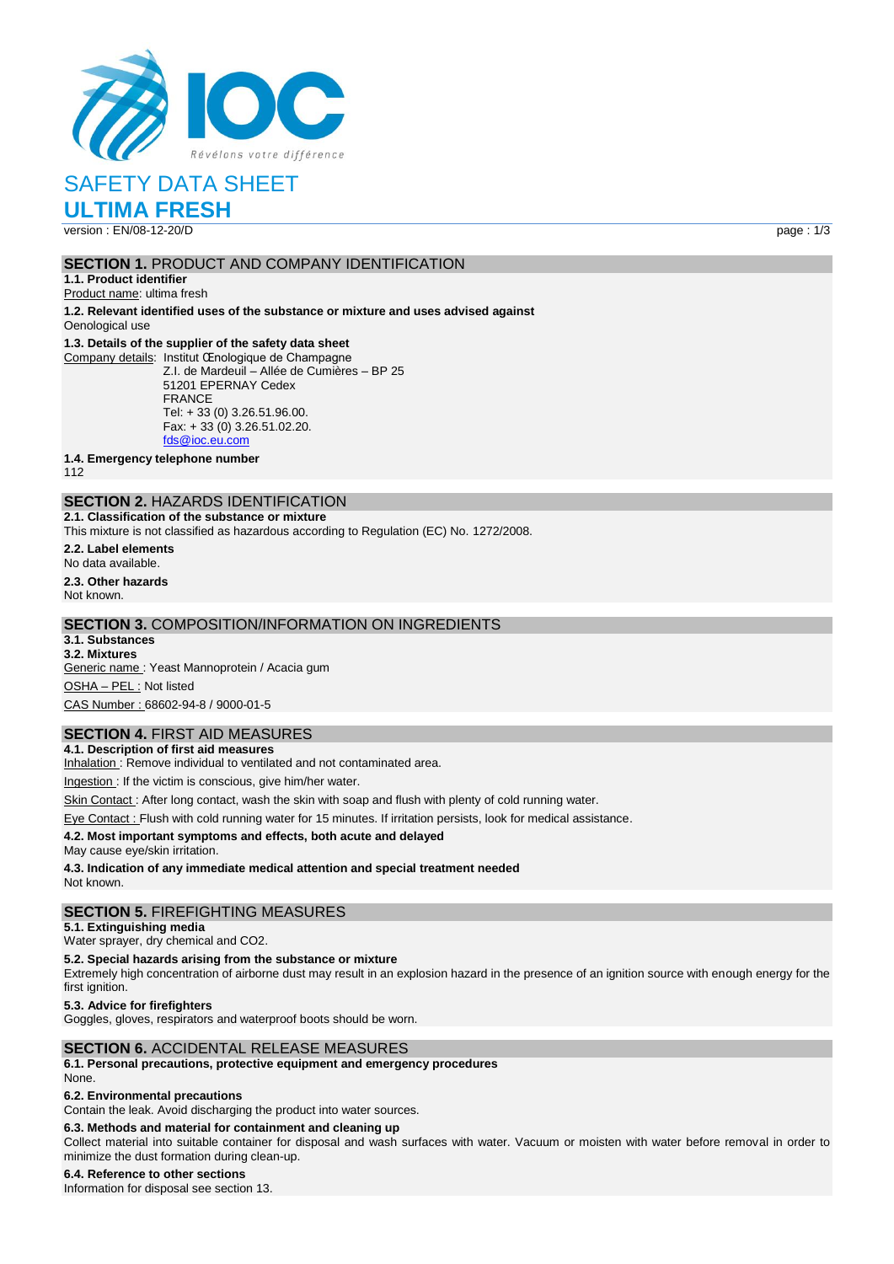

SAFETY DATA SHEET

**ULTIMA FRESH** version : EN/08-12-20/D page : 1/3

# **SECTION 1.** PRODUCT AND COMPANY IDENTIFICATION

**1.1. Product identifier**

Product name: ultima fresh

**1.2. Relevant identified uses of the substance or mixture and uses advised against** Oenological use

#### **1.3. Details of the supplier of the safety data sheet**

Company details: Institut Œnologique de Champagne Z.I. de Mardeuil – Allée de Cumières – BP 25 51201 EPERNAY Cedex FRANCE Tel: + 33 (0) 3.26.51.96.00. Fax: + 33 (0) 3.26.51.02.20. [fds@ioc.eu.com](mailto:fds@ioc.eu.com)

**1.4. Emergency telephone number**

112

# **SECTION 2.** HAZARDS IDENTIFICATION

**2.1. Classification of the substance or mixture**

This mixture is not classified as hazardous according to Regulation (EC) No. 1272/2008.

**2.2. Label elements** No data available. **2.3. Other hazards**

Not known.

## **SECTION 3.** COMPOSITION/INFORMATION ON INGREDIENTS

**3.1. Substances 3.2. Mixtures**

Generic name : Yeast Mannoprotein / Acacia gum OSHA – PEL : Not listed CAS Number : 68602-94-8 / 9000-01-5

## **SECTION 4.** FIRST AID MEASURES

**4.1. Description of first aid measures** Inhalation: Remove individual to ventilated and not contaminated area.

Ingestion : If the victim is conscious, give him/her water.

Skin Contact : After long contact, wash the skin with soap and flush with plenty of cold running water.

Eye Contact : Flush with cold running water for 15 minutes. If irritation persists, look for medical assistance.

#### **4.2. Most important symptoms and effects, both acute and delayed**

May cause eye/skin irritation.

**4.3. Indication of any immediate medical attention and special treatment needed**

Not known.

#### **SECTION 5.** FIREFIGHTING MEASURES

#### **5.1. Extinguishing media**

Water sprayer, dry chemical and CO2.

#### **5.2. Special hazards arising from the substance or mixture**

Extremely high concentration of airborne dust may result in an explosion hazard in the presence of an ignition source with enough energy for the first ignition.

**5.3. Advice for firefighters**

Goggles, gloves, respirators and waterproof boots should be worn.

#### **SECTION 6.** ACCIDENTAL RELEASE MEASURES

**6.1. Personal precautions, protective equipment and emergency procedures** None.

## **6.2. Environmental precautions**

Contain the leak. Avoid discharging the product into water sources.

## **6.3. Methods and material for containment and cleaning up**

Collect material into suitable container for disposal and wash surfaces with water. Vacuum or moisten with water before removal in order to minimize the dust formation during clean-up.

## **6.4. Reference to other sections**

Information for disposal see section 13.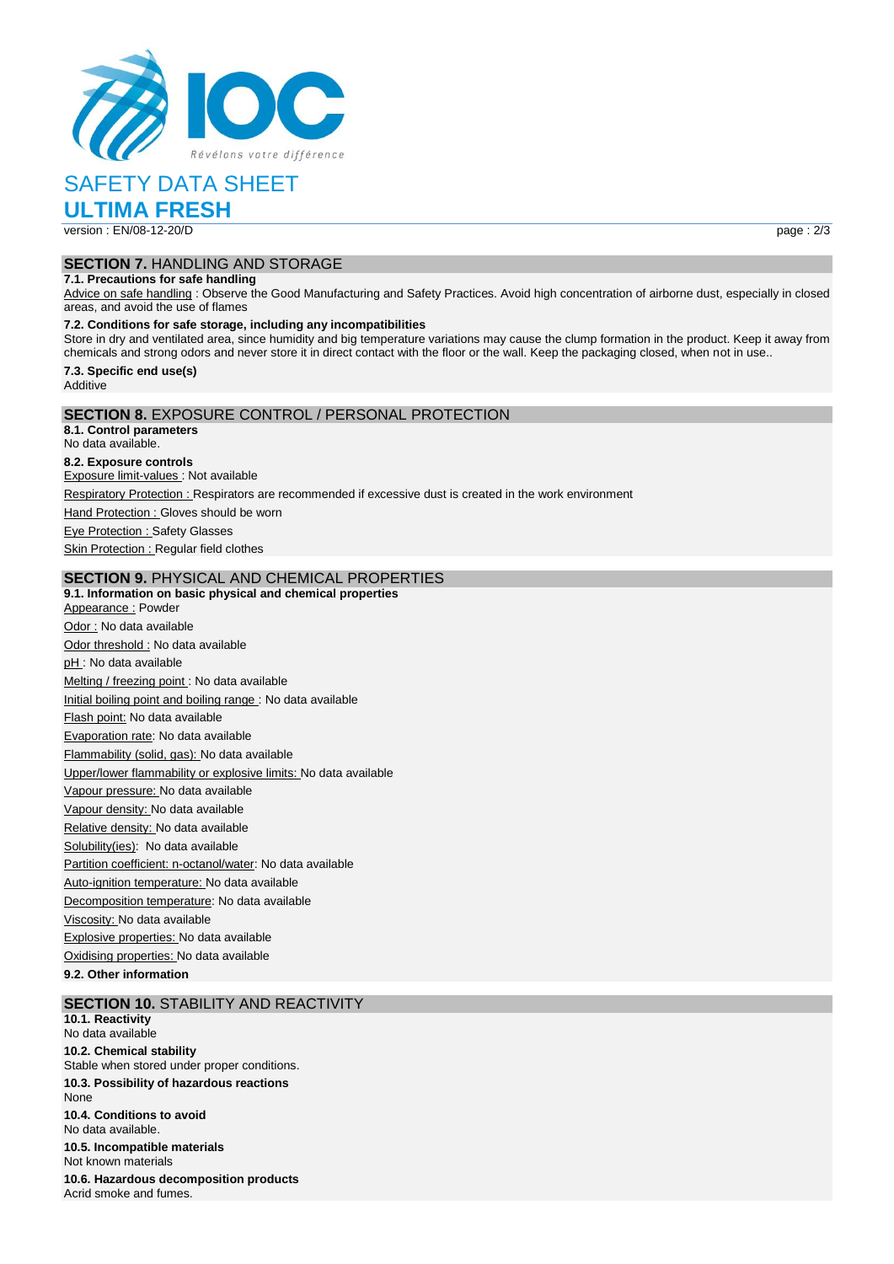

# SAFETY DATA SHEET

**ULTIMA FRESH** version : EN/08-12-20/D page : 2/3

## **SECTION 7.** HANDLING AND STORAGE

# **7.1. Precautions for safe handling**

Advice on safe handling : Observe the Good Manufacturing and Safety Practices. Avoid high concentration of airborne dust, especially in closed areas, and avoid the use of flames

#### **7.2. Conditions for safe storage, including any incompatibilities**

Store in dry and ventilated area, since humidity and big temperature variations may cause the clump formation in the product. Keep it away from chemicals and strong odors and never store it in direct contact with the floor or the wall. Keep the packaging closed, when not in use..

#### **7.3. Specific end use(s)** Additive

### **SECTION 8.** EXPOSURE CONTROL / PERSONAL PROTECTION

**8.1. Control parameters** No data available. **8.2. Exposure controls** Exposure limit-values : Not available Respiratory Protection : Respirators are recommended if excessive dust is created in the work environment Hand Protection : Gloves should be worn Eye Protection : Safety Glasses **Skin Protection : Regular field clothes** 

### **SECTION 9.** PHYSICAL AND CHEMICAL PROPERTIES

**9.1. Information on basic physical and chemical properties** Appearance : Powder Odor : No data available Odor threshold : No data available pH : No data available Melting / freezing point : No data available Initial boiling point and boiling range : No data available Flash point: No data available Evaporation rate: No data available Flammability (solid, gas): No data available Upper/lower flammability or explosive limits: No data available Vapour pressure: No data available Vapour density: No data available Relative density: No data available Solubility(ies): No data available Partition coefficient: n-octanol/water: No data available Auto-ignition temperature: No data available Decomposition temperature: No data available Viscosity: No data available Explosive properties: No data available Oxidising properties: No data available **9.2. Other information**

# **SECTION 10.** STABILITY AND REACTIVITY

**10.1. Reactivity** No data available **10.2. Chemical stability** Stable when stored under proper conditions. **10.3. Possibility of hazardous reactions None 10.4. Conditions to avoid** No data available. **10.5. Incompatible materials** Not known materials **10.6. Hazardous decomposition products** Acrid smoke and fumes.